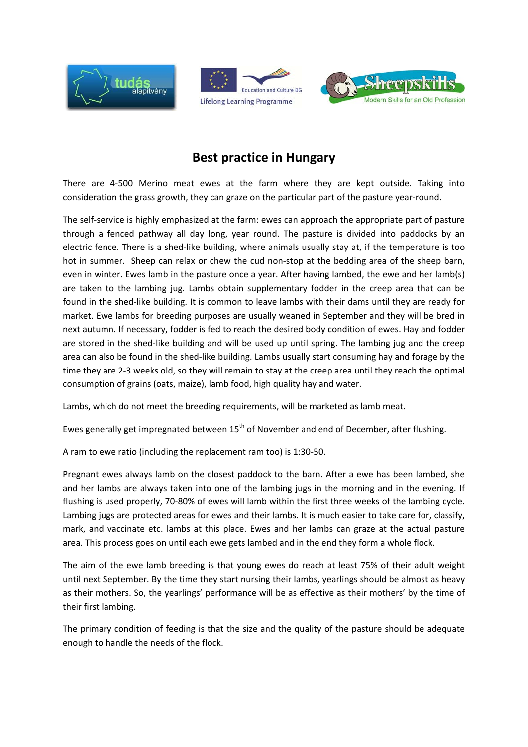





## **Best practice in Hungary**

There are 4‐500 Merino meat ewes at the farm where they are kept outside. Taking into consideration the grass growth, they can graze on the particular part of the pasture year‐round.

The self-service is highly emphasized at the farm: ewes can approach the appropriate part of pasture through a fenced pathway all day long, year round. The pasture is divided into paddocks by an electric fence. There is a shed‐like building, where animals usually stay at, if the temperature is too hot in summer. Sheep can relax or chew the cud non-stop at the bedding area of the sheep barn, even in winter. Ewes lamb in the pasture once a year. After having lambed, the ewe and her lamb(s) are taken to the lambing jug. Lambs obtain supplementary fodder in the creep area that can be found in the shed‐like building. It is common to leave lambs with their dams until they are ready for market. Ewe lambs for breeding purposes are usually weaned in September and they will be bred in next autumn. If necessary, fodder is fed to reach the desired body condition of ewes. Hay and fodder are stored in the shed-like building and will be used up until spring. The lambing jug and the creep area can also be found in the shed-like building. Lambs usually start consuming hay and forage by the time they are 2‐3 weeks old, so they will remain to stay at the creep area until they reach the optimal consumption of grains (oats, maize), lamb food, high quality hay and water.

Lambs, which do not meet the breeding requirements, will be marketed as lamb meat.

Ewes generally get impregnated between 15<sup>th</sup> of November and end of December, after flushing.

A ram to ewe ratio (including the replacement ram too) is 1:30‐50.

Pregnant ewes always lamb on the closest paddock to the barn. After a ewe has been lambed, she and her lambs are always taken into one of the lambing jugs in the morning and in the evening. If flushing is used properly, 70‐80% of ewes will lamb within the first three weeks of the lambing cycle. Lambing jugs are protected areas for ewes and their lambs. It is much easier to take care for, classify, mark, and vaccinate etc. lambs at this place. Ewes and her lambs can graze at the actual pasture area. This process goes on until each ewe gets lambed and in the end they form a whole flock.

The aim of the ewe lamb breeding is that young ewes do reach at least 75% of their adult weight until next September. By the time they start nursing their lambs, yearlings should be almost as heavy as their mothers. So, the yearlings' performance will be as effective as their mothers' by the time of their first lambing.

The primary condition of feeding is that the size and the quality of the pasture should be adequate enough to handle the needs of the flock.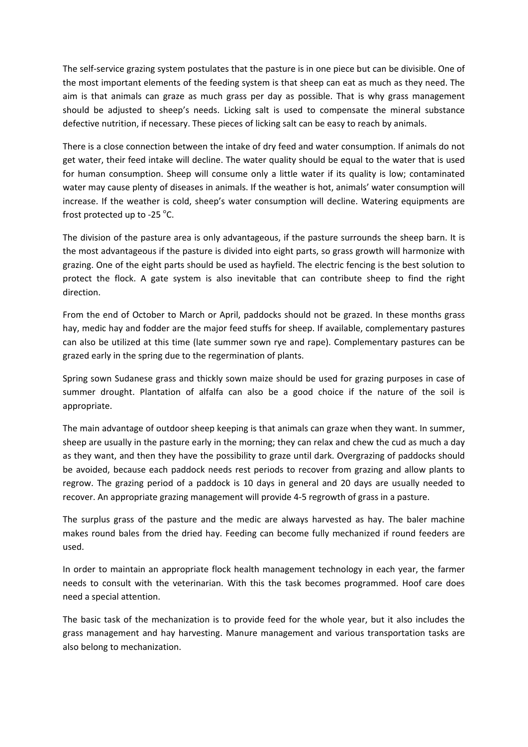The self-service grazing system postulates that the pasture is in one piece but can be divisible. One of the most important elements of the feeding system is that sheep can eat as much as they need. The aim is that animals can graze as much grass per day as possible. That is why grass management should be adjusted to sheep's needs. Licking salt is used to compensate the mineral substance defective nutrition, if necessary. These pieces of licking salt can be easy to reach by animals.

There is a close connection between the intake of dry feed and water consumption. If animals do not get water, their feed intake will decline. The water quality should be equal to the water that is used for human consumption. Sheep will consume only a little water if its quality is low; contaminated water may cause plenty of diseases in animals. If the weather is hot, animals' water consumption will increase. If the weather is cold, sheep's water consumption will decline. Watering equipments are frost protected up to -25  $^{\circ}$ C.

The division of the pasture area is only advantageous, if the pasture surrounds the sheep barn. It is the most advantageous if the pasture is divided into eight parts, so grass growth will harmonize with grazing. One of the eight parts should be used as hayfield. The electric fencing is the best solution to protect the flock. A gate system is also inevitable that can contribute sheep to find the right direction.

From the end of October to March or April, paddocks should not be grazed. In these months grass hay, medic hay and fodder are the major feed stuffs for sheep. If available, complementary pastures can also be utilized at this time (late summer sown rye and rape). Complementary pastures can be grazed early in the spring due to the regermination of plants.

Spring sown Sudanese grass and thickly sown maize should be used for grazing purposes in case of summer drought. Plantation of alfalfa can also be a good choice if the nature of the soil is appropriate.

The main advantage of outdoor sheep keeping is that animals can graze when they want. In summer, sheep are usually in the pasture early in the morning; they can relax and chew the cud as much a day as they want, and then they have the possibility to graze until dark. Overgrazing of paddocks should be avoided, because each paddock needs rest periods to recover from grazing and allow plants to regrow. The grazing period of a paddock is 10 days in general and 20 days are usually needed to recover. An appropriate grazing management will provide 4‐5 regrowth of grass in a pasture.

The surplus grass of the pasture and the medic are always harvested as hay. The baler machine makes round bales from the dried hay. Feeding can become fully mechanized if round feeders are used.

In order to maintain an appropriate flock health management technology in each year, the farmer needs to consult with the veterinarian. With this the task becomes programmed. Hoof care does need a special attention.

The basic task of the mechanization is to provide feed for the whole year, but it also includes the grass management and hay harvesting. Manure management and various transportation tasks are also belong to mechanization.